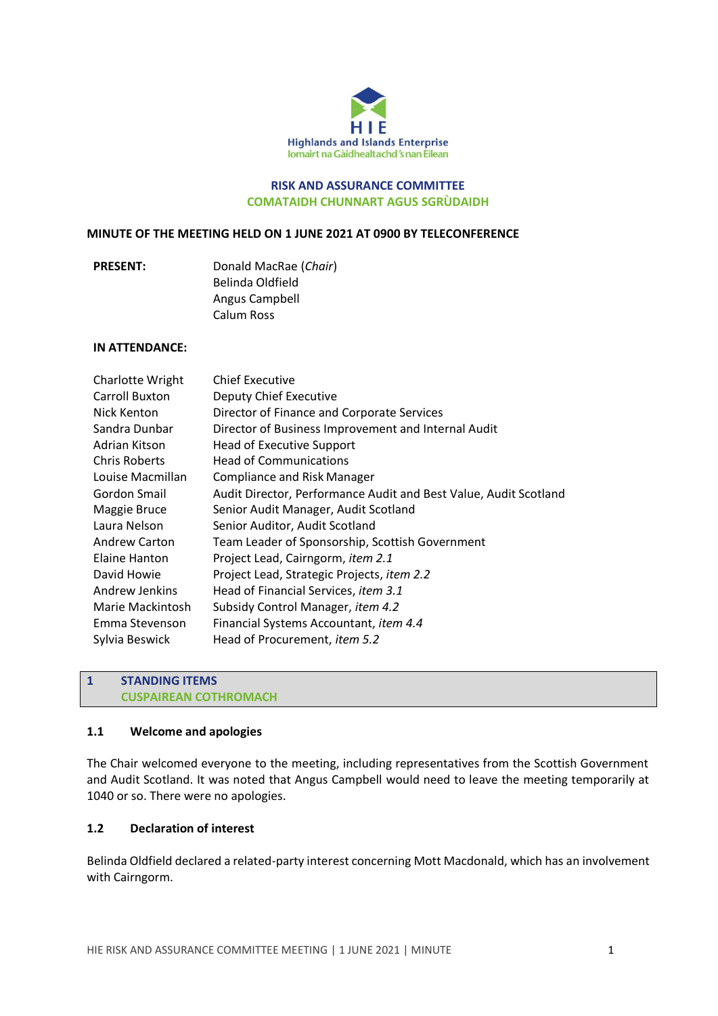

### **RISK AND ASSURANCE COMMITTEE COMATAIDH CHUNNART AGUS SGRÙDAIDH**

#### **MINUTE OF THE MEETING HELD ON 1 JUNE 2021 AT 0900 BY TELECONFERENCE**

| <b>PRESENT:</b> | Donald MacRae (Chair) |
|-----------------|-----------------------|
|                 | Belinda Oldfield      |
|                 | Angus Campbell        |
|                 | Calum Ross            |

### **IN ATTENDANCE:**

| Charlotte Wright      | <b>Chief Executive</b>                                           |
|-----------------------|------------------------------------------------------------------|
| <b>Carroll Buxton</b> | Deputy Chief Executive                                           |
| Nick Kenton           | Director of Finance and Corporate Services                       |
| Sandra Dunbar         | Director of Business Improvement and Internal Audit              |
| Adrian Kitson         | <b>Head of Executive Support</b>                                 |
| <b>Chris Roberts</b>  | <b>Head of Communications</b>                                    |
| Louise Macmillan      | <b>Compliance and Risk Manager</b>                               |
| Gordon Smail          | Audit Director, Performance Audit and Best Value, Audit Scotland |
| Maggie Bruce          | Senior Audit Manager, Audit Scotland                             |
| Laura Nelson          | Senior Auditor, Audit Scotland                                   |
| <b>Andrew Carton</b>  | Team Leader of Sponsorship, Scottish Government                  |
| Elaine Hanton         | Project Lead, Cairngorm, <i>item 2.1</i>                         |
| David Howie           | Project Lead, Strategic Projects, item 2.2                       |
| Andrew Jenkins        | Head of Financial Services, item 3.1                             |
| Marie Mackintosh      | Subsidy Control Manager, item 4.2                                |
| Emma Stevenson        | Financial Systems Accountant, item 4.4                           |
| Sylvia Beswick        | Head of Procurement, <i>item</i> 5.2                             |

## **1 STANDING ITEMS CUSPAIREAN COTHROMACH**

#### **1.1 Welcome and apologies**

The Chair welcomed everyone to the meeting, including representatives from the Scottish Government and Audit Scotland. It was noted that Angus Campbell would need to leave the meeting temporarily at 1040 or so. There were no apologies.

## **1.2 Declaration of interest**

Belinda Oldfield declared a related-party interest concerning Mott Macdonald, which has an involvement with Cairngorm.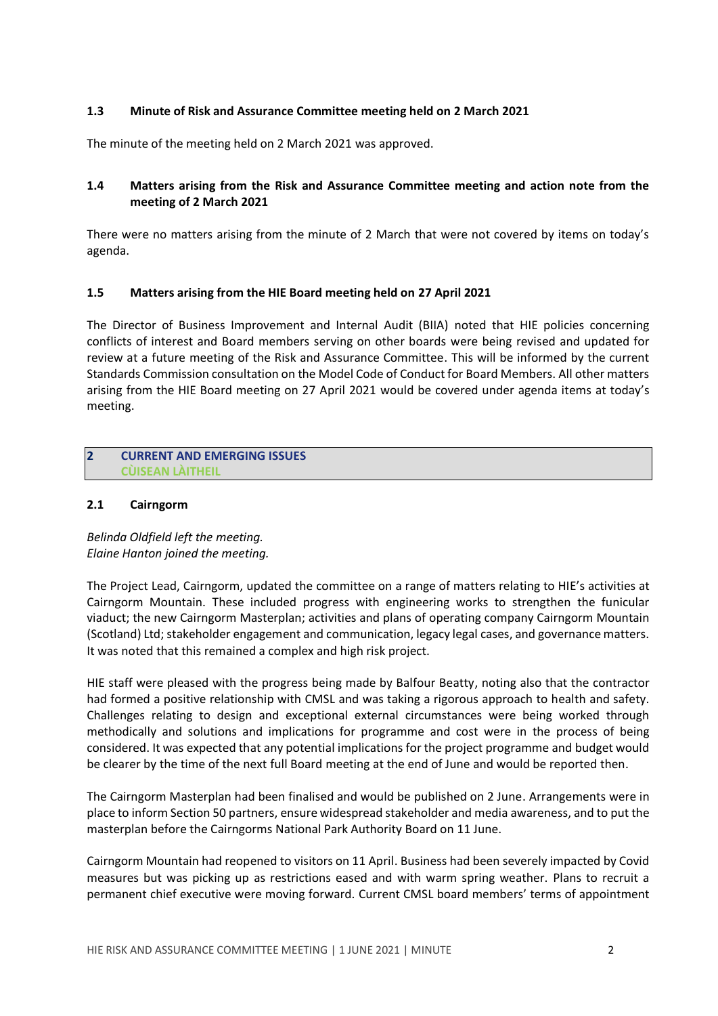### **1.3 Minute of Risk and Assurance Committee meeting held on 2 March 2021**

The minute of the meeting held on 2 March 2021 was approved.

# **1.4 Matters arising from the Risk and Assurance Committee meeting and action note from the meeting of 2 March 2021**

There were no matters arising from the minute of 2 March that were not covered by items on today's agenda.

## **1.5 Matters arising from the HIE Board meeting held on 27 April 2021**

The Director of Business Improvement and Internal Audit (BIIA) noted that HIE policies concerning conflicts of interest and Board members serving on other boards were being revised and updated for review at a future meeting of the Risk and Assurance Committee. This will be informed by the current Standards Commission consultation on the Model Code of Conduct for Board Members. All other matters arising from the HIE Board meeting on 27 April 2021 would be covered under agenda items at today's meeting.

#### **2 CURRENT AND EMERGING ISSUES CÙISEAN LÀITHEIL**

## **2.1 Cairngorm**

*Belinda Oldfield left the meeting. Elaine Hanton joined the meeting.* 

The Project Lead, Cairngorm, updated the committee on a range of matters relating to HIE's activities at Cairngorm Mountain. These included progress with engineering works to strengthen the funicular viaduct; the new Cairngorm Masterplan; activities and plans of operating company Cairngorm Mountain (Scotland) Ltd; stakeholder engagement and communication, legacy legal cases, and governance matters. It was noted that this remained a complex and high risk project.

HIE staff were pleased with the progress being made by Balfour Beatty, noting also that the contractor had formed a positive relationship with CMSL and was taking a rigorous approach to health and safety. Challenges relating to design and exceptional external circumstances were being worked through methodically and solutions and implications for programme and cost were in the process of being considered. It was expected that any potential implications for the project programme and budget would be clearer by the time of the next full Board meeting at the end of June and would be reported then.

The Cairngorm Masterplan had been finalised and would be published on 2 June. Arrangements were in place to inform Section 50 partners, ensure widespread stakeholder and media awareness, and to put the masterplan before the Cairngorms National Park Authority Board on 11 June.

Cairngorm Mountain had reopened to visitors on 11 April. Business had been severely impacted by Covid measures but was picking up as restrictions eased and with warm spring weather. Plans to recruit a permanent chief executive were moving forward. Current CMSL board members' terms of appointment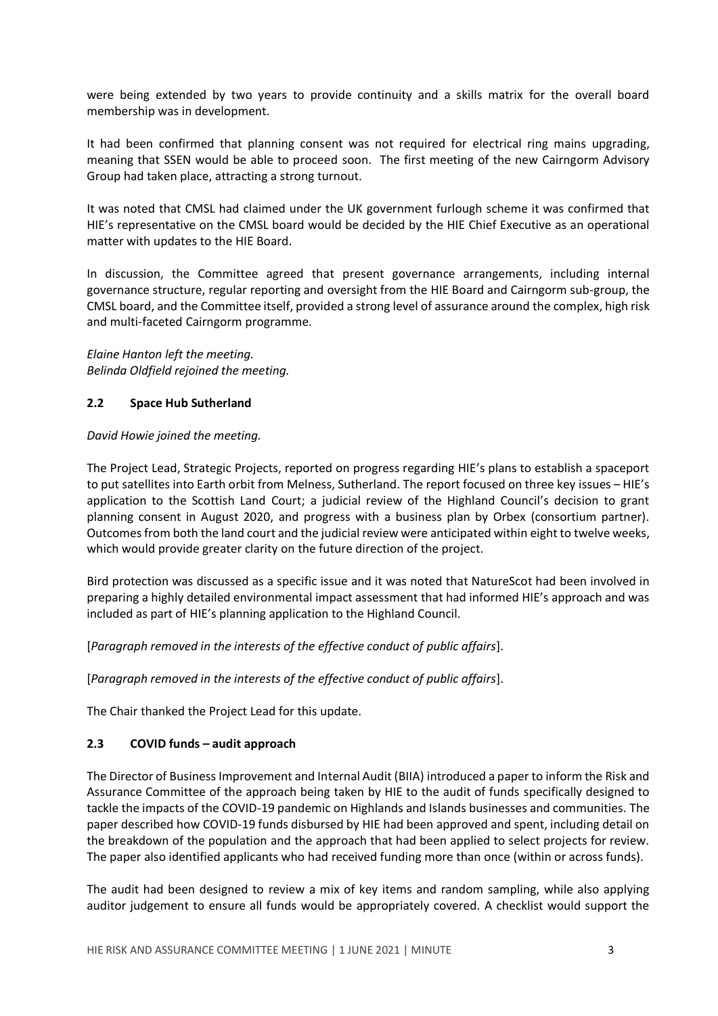were being extended by two years to provide continuity and a skills matrix for the overall board membership was in development.

It had been confirmed that planning consent was not required for electrical ring mains upgrading, meaning that SSEN would be able to proceed soon. The first meeting of the new Cairngorm Advisory Group had taken place, attracting a strong turnout.

It was noted that CMSL had claimed under the UK government furlough scheme it was confirmed that HIE's representative on the CMSL board would be decided by the HIE Chief Executive as an operational matter with updates to the HIE Board.

In discussion, the Committee agreed that present governance arrangements, including internal governance structure, regular reporting and oversight from the HIE Board and Cairngorm sub-group, the CMSL board, and the Committee itself, provided a strong level of assurance around the complex, high risk and multi-faceted Cairngorm programme.

*Elaine Hanton left the meeting. Belinda Oldfield rejoined the meeting.*

## **2.2 Space Hub Sutherland**

#### *David Howie joined the meeting.*

The Project Lead, Strategic Projects, reported on progress regarding HIE's plans to establish a spaceport to put satellites into Earth orbit from Melness, Sutherland. The report focused on three key issues - HIE's application to the Scottish Land Court; a judicial review of the Highland Council's decision to grant planning consent in August 2020, and progress with a business plan by Orbex (consortium partner). Outcomes from both the land court and the judicial review were anticipated within eight to twelve weeks, which would provide greater clarity on the future direction of the project.

Bird protection was discussed as a specific issue and it was noted that NatureScot had been involved in preparing a highly detailed environmental impact assessment that had informed HIE's approach and was included as part of HIE's planning application to the Highland Council.

[*Paragraph removed in the interests of the effective conduct of public affairs*].

[*Paragraph removed in the interests of the effective conduct of public affairs*].

The Chair thanked the Project Lead for this update.

# **2.3 COVID funds – audit approach**

The Director of Business Improvement and Internal Audit (BIIA) introduced a paper to inform the Risk and Assurance Committee of the approach being taken by HIE to the audit of funds specifically designed to tackle the impacts of the COVID-19 pandemic on Highlands and Islands businesses and communities. The paper described how COVID-19 funds disbursed by HIE had been approved and spent, including detail on the breakdown of the population and the approach that had been applied to select projects for review. The paper also identified applicants who had received funding more than once (within or across funds).

The audit had been designed to review a mix of key items and random sampling, while also applying auditor judgement to ensure all funds would be appropriately covered. A checklist would support the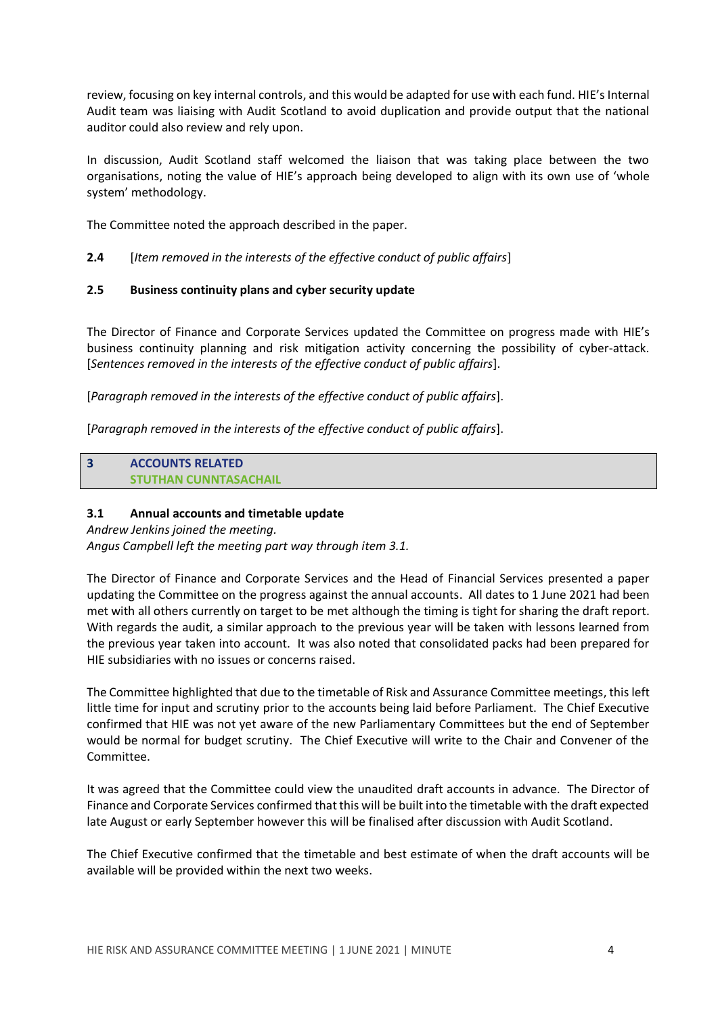review, focusing on key internal controls, and this would be adapted for use with each fund. HIE's Internal Audit team was liaising with Audit Scotland to avoid duplication and provide output that the national auditor could also review and rely upon.

In discussion, Audit Scotland staff welcomed the liaison that was taking place between the two organisations, noting the value of HIE's approach being developed to align with its own use of 'whole system' methodology.

The Committee noted the approach described in the paper.

**2.4** [*Item removed in the interests of the effective conduct of public affairs*]

## **2.5 Business continuity plans and cyber security update**

The Director of Finance and Corporate Services updated the Committee on progress made with HIE's business continuity planning and risk mitigation activity concerning the possibility of cyber-attack. [*Sentences removed in the interests of the effective conduct of public affairs*].

[*Paragraph removed in the interests of the effective conduct of public affairs*].

[*Paragraph removed in the interests of the effective conduct of public affairs*].

**3 ACCOUNTS RELATED STUTHAN CUNNTASACHAIL**

### **3.1 Annual accounts and timetable update**

*Andrew Jenkins joined the meeting. Angus Campbell left the meeting part way through item 3.1.*

The Director of Finance and Corporate Services and the Head of Financial Services presented a paper updating the Committee on the progress against the annual accounts. All dates to 1 June 2021 had been met with all others currently on target to be met although the timing is tight for sharing the draft report. With regards the audit, a similar approach to the previous year will be taken with lessons learned from the previous year taken into account. It was also noted that consolidated packs had been prepared for HIE subsidiaries with no issues or concerns raised.

The Committee highlighted that due to the timetable of Risk and Assurance Committee meetings, thisleft little time for input and scrutiny prior to the accounts being laid before Parliament. The Chief Executive confirmed that HIE was not yet aware of the new Parliamentary Committees but the end of September would be normal for budget scrutiny. The Chief Executive will write to the Chair and Convener of the Committee.

It was agreed that the Committee could view the unaudited draft accounts in advance. The Director of Finance and Corporate Services confirmed that this will be built into the timetable with the draft expected late August or early September however this will be finalised after discussion with Audit Scotland.

The Chief Executive confirmed that the timetable and best estimate of when the draft accounts will be available will be provided within the next two weeks.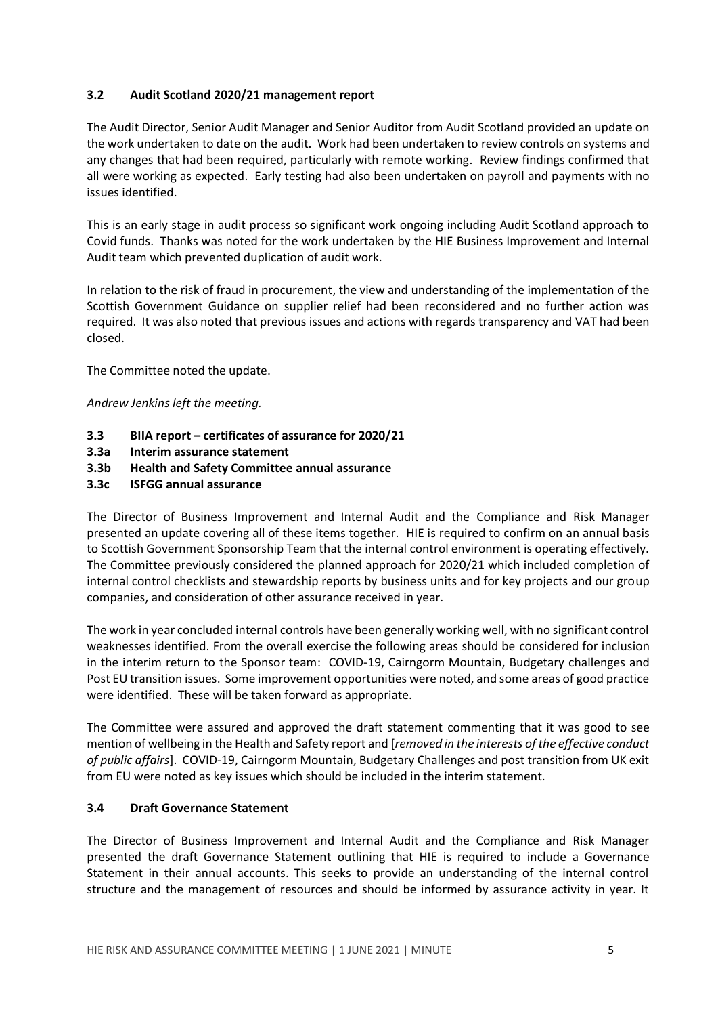## **3.2 Audit Scotland 2020/21 management report**

The Audit Director, Senior Audit Manager and Senior Auditor from Audit Scotland provided an update on the work undertaken to date on the audit. Work had been undertaken to review controls on systems and any changes that had been required, particularly with remote working. Review findings confirmed that all were working as expected. Early testing had also been undertaken on payroll and payments with no issues identified.

This is an early stage in audit process so significant work ongoing including Audit Scotland approach to Covid funds. Thanks was noted for the work undertaken by the HIE Business Improvement and Internal Audit team which prevented duplication of audit work.

In relation to the risk of fraud in procurement, the view and understanding of the implementation of the Scottish Government Guidance on supplier relief had been reconsidered and no further action was required. It was also noted that previous issues and actions with regards transparency and VAT had been closed.

The Committee noted the update.

*Andrew Jenkins left the meeting.*

- **3.3 BIIA report – certificates of assurance for 2020/21**
- **3.3a Interim assurance statement**
- **3.3b Health and Safety Committee annual assurance**
- **3.3c ISFGG annual assurance**

The Director of Business Improvement and Internal Audit and the Compliance and Risk Manager presented an update covering all of these items together. HIE is required to confirm on an annual basis to Scottish Government Sponsorship Team that the internal control environment is operating effectively. The Committee previously considered the planned approach for 2020/21 which included completion of internal control checklists and stewardship reports by business units and for key projects and our group companies, and consideration of other assurance received in year.

The work in year concluded internal controls have been generally working well, with no significant control weaknesses identified. From the overall exercise the following areas should be considered for inclusion in the interim return to the Sponsor team: COVID-19, Cairngorm Mountain, Budgetary challenges and Post EU transition issues. Some improvement opportunities were noted, and some areas of good practice were identified. These will be taken forward as appropriate.

The Committee were assured and approved the draft statement commenting that it was good to see mention of wellbeing in the Health and Safety report and [*removed in the interests of the effective conduct of public affairs*]. COVID-19, Cairngorm Mountain, Budgetary Challenges and post transition from UK exit from EU were noted as key issues which should be included in the interim statement.

#### **3.4 Draft Governance Statement**

The Director of Business Improvement and Internal Audit and the Compliance and Risk Manager presented the draft Governance Statement outlining that HIE is required to include a Governance Statement in their annual accounts. This seeks to provide an understanding of the internal control structure and the management of resources and should be informed by assurance activity in year. It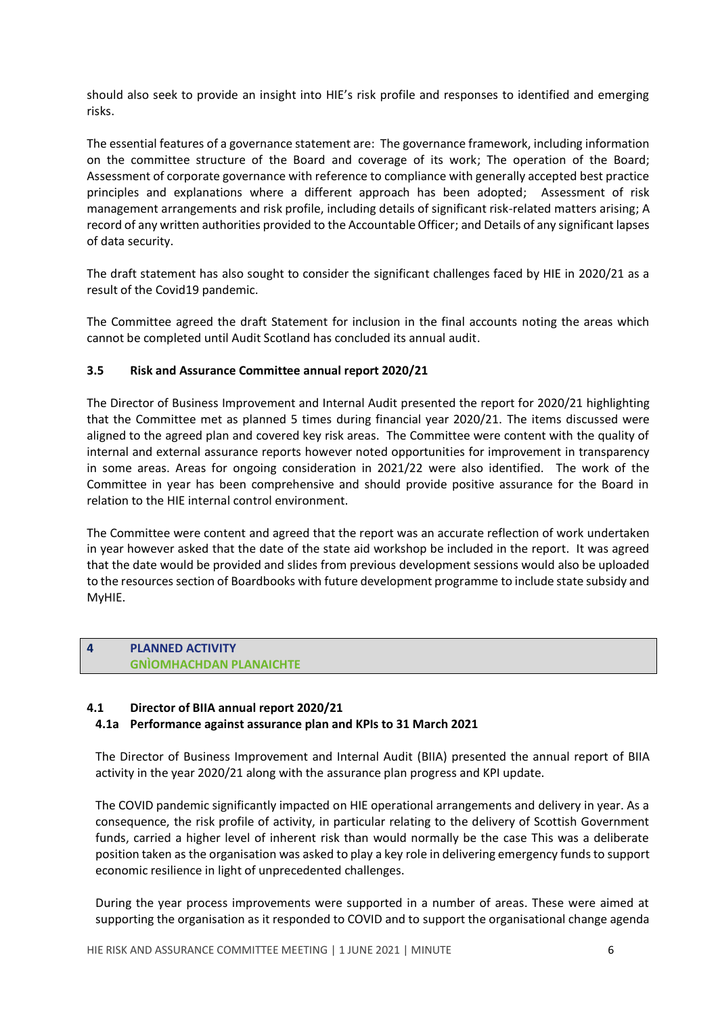should also seek to provide an insight into HIE's risk profile and responses to identified and emerging risks.

The essential features of a governance statement are: The governance framework, including information on the committee structure of the Board and coverage of its work; The operation of the Board; Assessment of corporate governance with reference to compliance with generally accepted best practice principles and explanations where a different approach has been adopted; Assessment of risk management arrangements and risk profile, including details of significant risk-related matters arising; A record of any written authorities provided to the Accountable Officer; and Details of any significant lapses of data security.

The draft statement has also sought to consider the significant challenges faced by HIE in 2020/21 as a result of the Covid19 pandemic.

The Committee agreed the draft Statement for inclusion in the final accounts noting the areas which cannot be completed until Audit Scotland has concluded its annual audit.

## **3.5 Risk and Assurance Committee annual report 2020/21**

The Director of Business Improvement and Internal Audit presented the report for 2020/21 highlighting that the Committee met as planned 5 times during financial year 2020/21. The items discussed were aligned to the agreed plan and covered key risk areas. The Committee were content with the quality of internal and external assurance reports however noted opportunities for improvement in transparency in some areas. Areas for ongoing consideration in 2021/22 were also identified. The work of the Committee in year has been comprehensive and should provide positive assurance for the Board in relation to the HIE internal control environment.

The Committee were content and agreed that the report was an accurate reflection of work undertaken in year however asked that the date of the state aid workshop be included in the report. It was agreed that the date would be provided and slides from previous development sessions would also be uploaded to the resources section of Boardbooks with future development programme to include state subsidy and MyHIE.

#### **4 PLANNED ACTIVITY GNÌOMHACHDAN PLANAICHTE**

#### **4.1 Director of BIIA annual report 2020/21**

#### **4.1a Performance against assurance plan and KPIs to 31 March 2021**

The Director of Business Improvement and Internal Audit (BIIA) presented the annual report of BIIA activity in the year 2020/21 along with the assurance plan progress and KPI update.

The COVID pandemic significantly impacted on HIE operational arrangements and delivery in year. As a consequence, the risk profile of activity, in particular relating to the delivery of Scottish Government funds, carried a higher level of inherent risk than would normally be the case This was a deliberate position taken as the organisation was asked to play a key role in delivering emergency funds to support economic resilience in light of unprecedented challenges.

During the year process improvements were supported in a number of areas. These were aimed at supporting the organisation as it responded to COVID and to support the organisational change agenda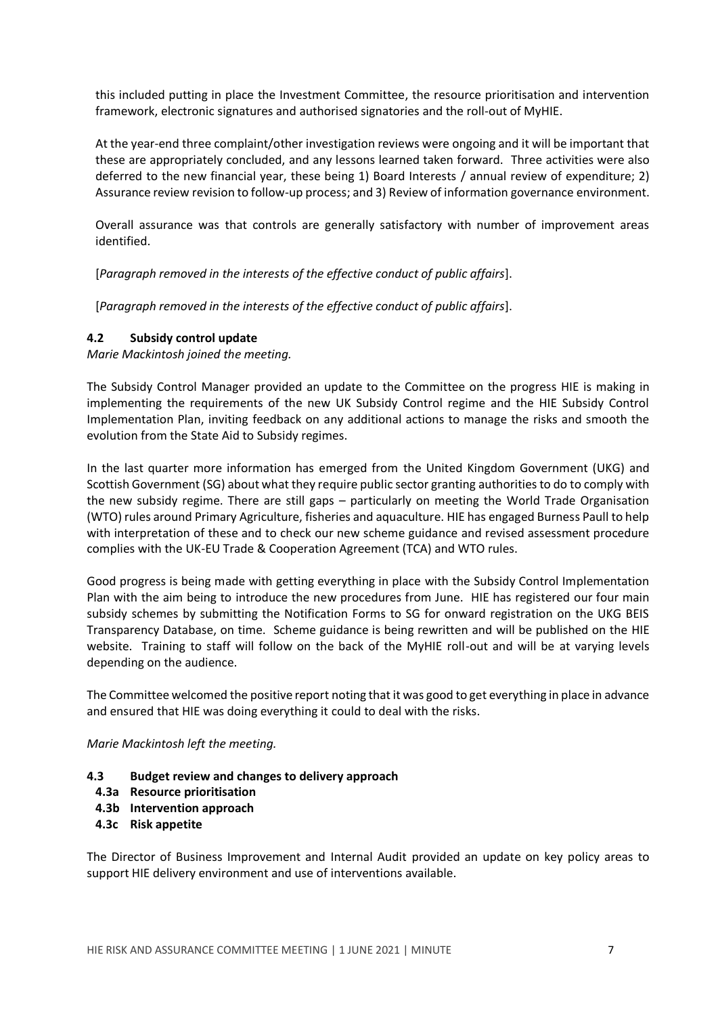this included putting in place the Investment Committee, the resource prioritisation and intervention framework, electronic signatures and authorised signatories and the roll-out of MyHIE.

At the year-end three complaint/other investigation reviews were ongoing and it will be important that these are appropriately concluded, and any lessons learned taken forward. Three activities were also deferred to the new financial year, these being 1) Board Interests / annual review of expenditure; 2) Assurance review revision to follow-up process; and 3) Review of information governance environment.

Overall assurance was that controls are generally satisfactory with number of improvement areas identified.

[*Paragraph removed in the interests of the effective conduct of public affairs*].

[*Paragraph removed in the interests of the effective conduct of public affairs*].

## **4.2 Subsidy control update**

*Marie Mackintosh joined the meeting.*

The Subsidy Control Manager provided an update to the Committee on the progress HIE is making in implementing the requirements of the new UK Subsidy Control regime and the HIE Subsidy Control Implementation Plan, inviting feedback on any additional actions to manage the risks and smooth the evolution from the State Aid to Subsidy regimes.

In the last quarter more information has emerged from the United Kingdom Government (UKG) and Scottish Government (SG) about what they require public sector granting authorities to do to comply with the new subsidy regime. There are still gaps – particularly on meeting the World Trade Organisation (WTO) rules around Primary Agriculture, fisheries and aquaculture. HIE has engaged Burness Paull to help with interpretation of these and to check our new scheme guidance and revised assessment procedure complies with the UK-EU Trade & Cooperation Agreement (TCA) and WTO rules.

Good progress is being made with getting everything in place with the Subsidy Control Implementation Plan with the aim being to introduce the new procedures from June. HIE has registered our four main subsidy schemes by submitting the Notification Forms to SG for onward registration on the UKG BEIS Transparency Database, on time. Scheme guidance is being rewritten and will be published on the HIE website. Training to staff will follow on the back of the MyHIE roll-out and will be at varying levels depending on the audience.

The Committee welcomed the positive report noting that it was good to get everything in place in advance and ensured that HIE was doing everything it could to deal with the risks.

*Marie Mackintosh left the meeting.*

- **4.3 Budget review and changes to delivery approach**
	- **4.3a Resource prioritisation**
	- **4.3b Intervention approach**
	- **4.3c Risk appetite**

The Director of Business Improvement and Internal Audit provided an update on key policy areas to support HIE delivery environment and use of interventions available.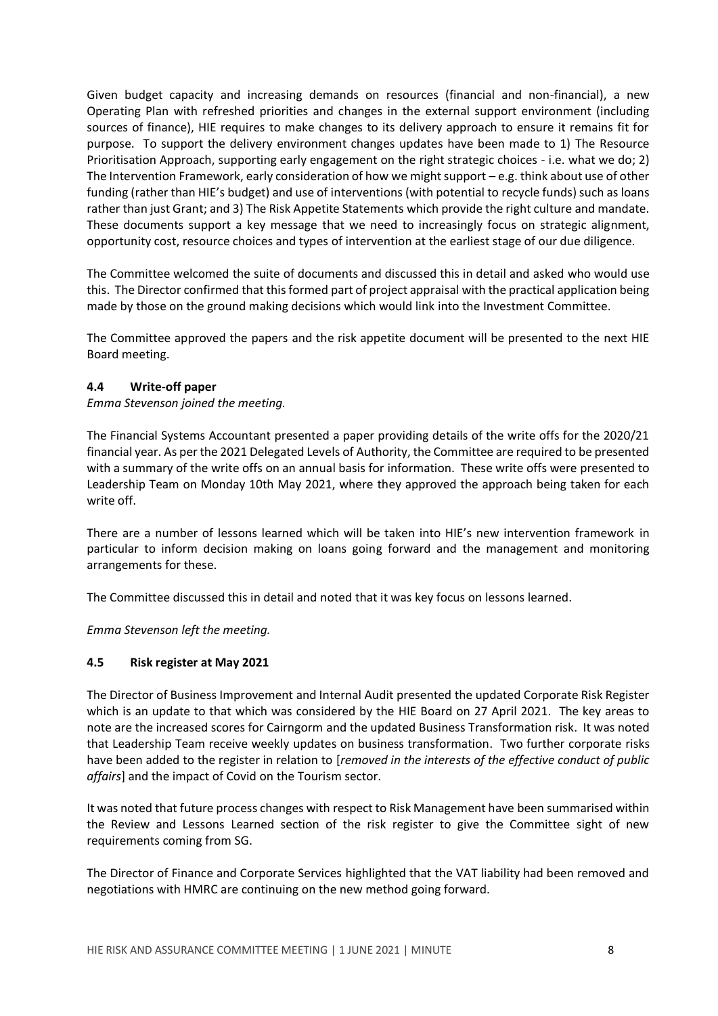Given budget capacity and increasing demands on resources (financial and non-financial), a new Operating Plan with refreshed priorities and changes in the external support environment (including sources of finance), HIE requires to make changes to its delivery approach to ensure it remains fit for purpose. To support the delivery environment changes updates have been made to 1) The Resource Prioritisation Approach, supporting early engagement on the right strategic choices - i.e. what we do; 2) The Intervention Framework, early consideration of how we might support – e.g. think about use of other funding (rather than HIE's budget) and use of interventions (with potential to recycle funds) such as loans rather than just Grant; and 3) The Risk Appetite Statements which provide the right culture and mandate. These documents support a key message that we need to increasingly focus on strategic alignment, opportunity cost, resource choices and types of intervention at the earliest stage of our due diligence.

The Committee welcomed the suite of documents and discussed this in detail and asked who would use this. The Director confirmed that this formed part of project appraisal with the practical application being made by those on the ground making decisions which would link into the Investment Committee.

The Committee approved the papers and the risk appetite document will be presented to the next HIE Board meeting.

## **4.4 Write-off paper**

#### *Emma Stevenson joined the meeting.*

The Financial Systems Accountant presented a paper providing details of the write offs for the 2020/21 financial year. As per the 2021 Delegated Levels of Authority, the Committee are required to be presented with a summary of the write offs on an annual basis for information. These write offs were presented to Leadership Team on Monday 10th May 2021, where they approved the approach being taken for each write off.

There are a number of lessons learned which will be taken into HIE's new intervention framework in particular to inform decision making on loans going forward and the management and monitoring arrangements for these.

The Committee discussed this in detail and noted that it was key focus on lessons learned.

*Emma Stevenson left the meeting.*

#### **4.5 Risk register at May 2021**

The Director of Business Improvement and Internal Audit presented the updated Corporate Risk Register which is an update to that which was considered by the HIE Board on 27 April 2021. The key areas to note are the increased scores for Cairngorm and the updated Business Transformation risk. It was noted that Leadership Team receive weekly updates on business transformation. Two further corporate risks have been added to the register in relation to [*removed in the interests of the effective conduct of public affairs*] and the impact of Covid on the Tourism sector.

It was noted that future process changes with respect to Risk Management have been summarised within the Review and Lessons Learned section of the risk register to give the Committee sight of new requirements coming from SG.

The Director of Finance and Corporate Services highlighted that the VAT liability had been removed and negotiations with HMRC are continuing on the new method going forward.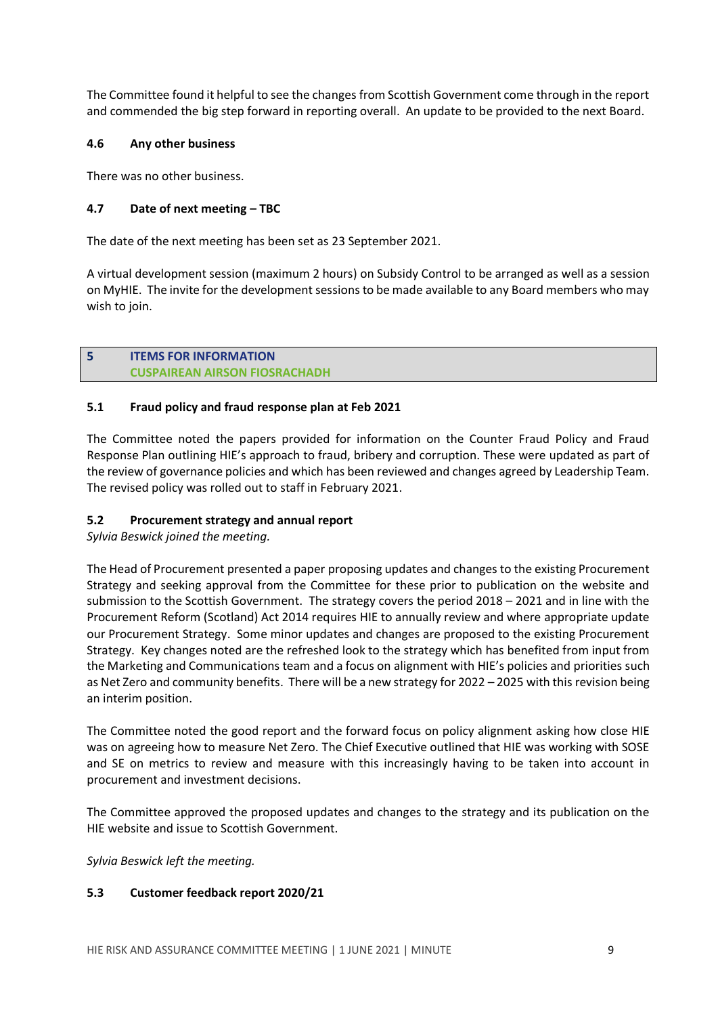The Committee found it helpful to see the changes from Scottish Government come through in the report and commended the big step forward in reporting overall. An update to be provided to the next Board.

# **4.6 Any other business**

There was no other business.

# **4.7 Date of next meeting – TBC**

The date of the next meeting has been set as 23 September 2021.

A virtual development session (maximum 2 hours) on Subsidy Control to be arranged as well as a session on MyHIE. The invite for the development sessions to be made available to any Board members who may wish to join.

## **5 ITEMS FOR INFORMATION CUSPAIREAN AIRSON FIOSRACHADH**

## **5.1 Fraud policy and fraud response plan at Feb 2021**

The Committee noted the papers provided for information on the Counter Fraud Policy and Fraud Response Plan outlining HIE's approach to fraud, bribery and corruption. These were updated as part of the review of governance policies and which has been reviewed and changes agreed by Leadership Team. The revised policy was rolled out to staff in February 2021.

# **5.2 Procurement strategy and annual report**

*Sylvia Beswick joined the meeting.*

The Head of Procurement presented a paper proposing updates and changes to the existing Procurement Strategy and seeking approval from the Committee for these prior to publication on the website and submission to the Scottish Government. The strategy covers the period 2018 – 2021 and in line with the Procurement Reform (Scotland) Act 2014 requires HIE to annually review and where appropriate update our Procurement Strategy. Some minor updates and changes are proposed to the existing Procurement Strategy. Key changes noted are the refreshed look to the strategy which has benefited from input from the Marketing and Communications team and a focus on alignment with HIE's policies and priorities such as Net Zero and community benefits. There will be a new strategy for 2022 – 2025 with this revision being an interim position.

The Committee noted the good report and the forward focus on policy alignment asking how close HIE was on agreeing how to measure Net Zero. The Chief Executive outlined that HIE was working with SOSE and SE on metrics to review and measure with this increasingly having to be taken into account in procurement and investment decisions.

The Committee approved the proposed updates and changes to the strategy and its publication on the HIE website and issue to Scottish Government.

*Sylvia Beswick left the meeting.*

#### **5.3 Customer feedback report 2020/21**